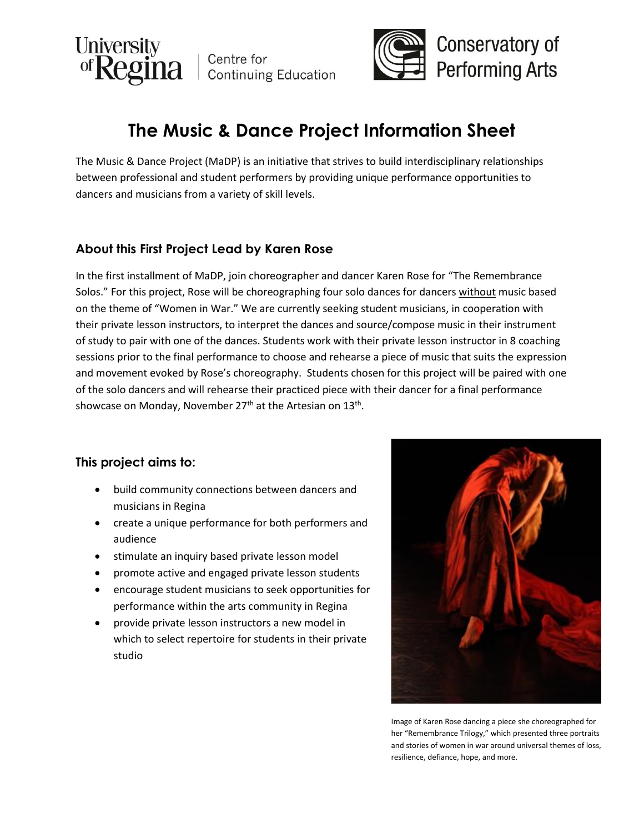



# **The Music & Dance Project Information Sheet**

The Music & Dance Project (MaDP) is an initiative that strives to build interdisciplinary relationships between professional and student performers by providing unique performance opportunities to dancers and musicians from a variety of skill levels.

### **About this First Project Lead by Karen Rose**

In the first installment of MaDP, join choreographer and dancer Karen Rose for "The Remembrance Solos." For this project, Rose will be choreographing four solo dances for dancers without music based on the theme of "Women in War." We are currently seeking student musicians, in cooperation with their private lesson instructors, to interpret the dances and source/compose music in their instrument of study to pair with one of the dances. Students work with their private lesson instructor in 8 coaching sessions prior to the final performance to choose and rehearse a piece of music that suits the expression and movement evoked by Rose's choreography. Students chosen for this project will be paired with one of the solo dancers and will rehearse their practiced piece with their dancer for a final performance showcase on Monday, November 27<sup>th</sup> at the Artesian on 13<sup>th</sup>.

## **This project aims to:**

- build community connections between dancers and musicians in Regina
- create a unique performance for both performers and audience
- **•** stimulate an inquiry based private lesson model
- promote active and engaged private lesson students
- encourage student musicians to seek opportunities for performance within the arts community in Regina
- provide private lesson instructors a new model in which to select repertoire for students in their private studio



Image of Karen Rose dancing a piece she choreographed for her "Remembrance Trilogy," which presented three portraits and stories of women in war around universal themes of loss, resilience, defiance, hope, and more.